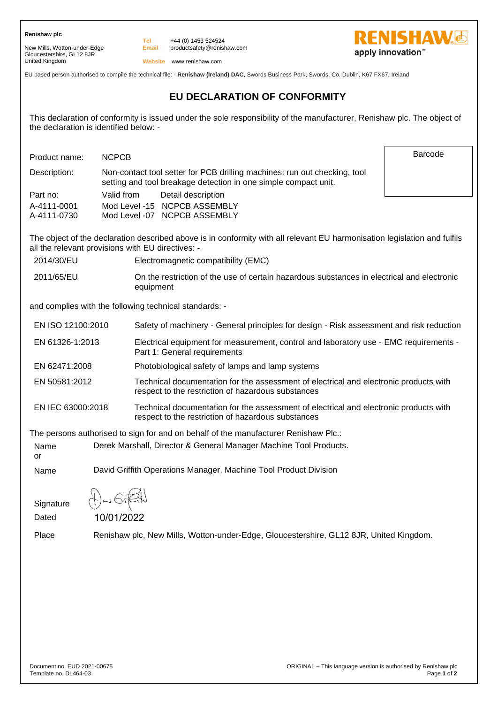**Renishaw plc**

New Mills, Wotton-under-Edge Gloucestershire, GL12 8JR United Kingdom

**Email** +44 (0) 1453 524524 productsafety@renishaw.com



**Barcode** 

**Website** www.renishaw.com

**Tel**

EU based person authorised to compile the technical file: - **Renishaw (Ireland) DAC**, Swords Business Park, Swords, Co. Dublin, K67 FX67, Ireland

## **EU DECLARATION OF CONFORMITY**

This declaration of conformity is issued under the sole responsibility of the manufacturer, Renishaw plc. The object of the declaration is identified below: -

Product name: NCPCB

Description: Non-contact tool setter for PCB drilling machines: run out checking, tool setting and tool breakage detection in one simple compact unit.

Part no: Valid from Detail description A-4111-0001 Mod Level -15 NCPCB ASSEMBLY A-4111-0730 Mod Level -07 NCPCB ASSEMBLY

The object of the declaration described above is in conformity with all relevant EU harmonisation legislation and fulfils all the relevant provisions with EU directives: -

| 2014/30/EU | Electromagnetic compatibility (EMC) |  |
|------------|-------------------------------------|--|
|------------|-------------------------------------|--|

2011/65/EU On the restriction of the use of certain hazardous substances in electrical and electronic equipment

and complies with the following technical standards: -

| EN ISO 12100:2010 |  |  | Safety of machinery - General principles for design - Risk assessment and risk reduction |
|-------------------|--|--|------------------------------------------------------------------------------------------|
|-------------------|--|--|------------------------------------------------------------------------------------------|

- EN 61326-1:2013 Electrical equipment for measurement, control and laboratory use EMC requirements Part 1: General requirements
- EN 62471:2008 Photobiological safety of lamps and lamp systems

EN 50581:2012 Technical documentation for the assessment of electrical and electronic products with respect to the restriction of hazardous substances

EN IEC 63000:2018 Technical documentation for the assessment of electrical and electronic products with respect to the restriction of hazardous substances

The persons authorised to sign for and on behalf of the manufacturer Renishaw Plc.:

Name or Derek Marshall, Director & General Manager Machine Tool Products.

Name David Griffith Operations Manager, Machine Tool Product Division

Dated 10/01/2022

**Signature** 

Place Renishaw plc, New Mills, Wotton-under-Edge, Gloucestershire, GL12 8JR, United Kingdom.